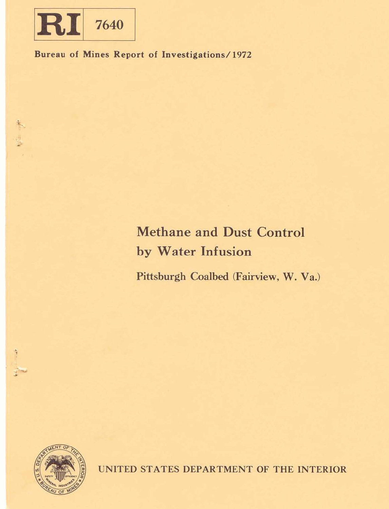

**Bureau of Mines Report of Investigations/1972** 

# **Methane and Dust Control by Water Infusion**

Pittsburgh Coalbed (Fairview, W. Va.)



UNITED STATES DEPARTMENT OF THE INTERIOR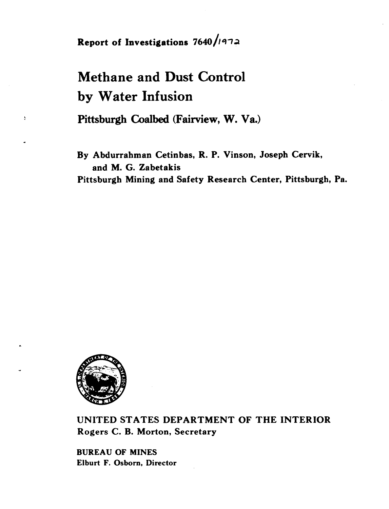**Report of Investigations 7640/1972** 

## **Methane and Dust Control by Water Infusion**

**Pittsburgh Coalbed (Fairview, W. Va.)** 

**By Abdurrahman Cetinbas, R. P. Vinson, Joseph Cervik, and M. G. Zabetakis Pittsburgh Mining and Safety Research Center, Pittsburgh, Pa.** 



 $\bar{\xi}$ 

**UNITED STATES DEPARTMENT OF THE INTERIOR Rogers C. B. Morton, Secretary** 

**BUREAU OF MINES Elburt F. Osborn, Director**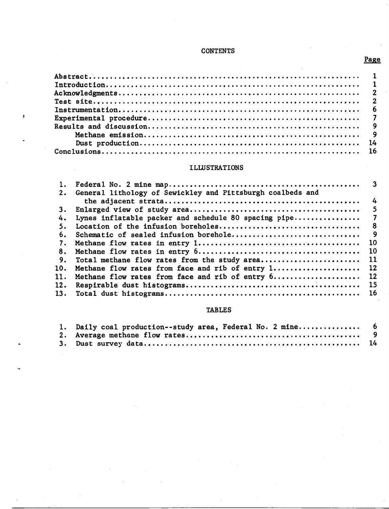## **CONTENTS**

## **ILLUSTRATIONS**

| $\mathbf{1}$ .<br>2. | General lithology of Sewickley and Pittsburgh coalbeds and |      |
|----------------------|------------------------------------------------------------|------|
|                      |                                                            |      |
| 3.                   |                                                            |      |
| 4.                   | Lynes inflatable packer and schedule 80 spacing pipe       |      |
| 5.                   |                                                            |      |
| 6.                   | Schematic of sealed infusion borehole                      |      |
| 7.                   |                                                            |      |
| 8.                   |                                                            |      |
| $-9.$                | Total methane flow rates from the study area 11            |      |
| 10.                  | Methane flow rates from face and rib of entry 1 12         |      |
| 11.                  | Methane flow rates from face and rib of entry 6 12         |      |
| 12.                  |                                                            |      |
| 13.                  |                                                            | - 16 |

## **TABLES**

| 1. Daily coal production--study area, Federal No. 2 mine 6 |  |
|------------------------------------------------------------|--|
|                                                            |  |
|                                                            |  |

## **PaRe**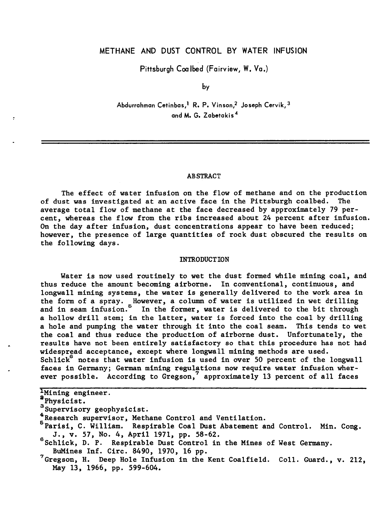## **METHANE AND DUST CONTROL BY WATER INFUSION**

**Pittsburgh Coalbed (Fairview, W. Va.)** 

by

Abdurrahman Cetinbas,<sup>1</sup> R. P. Vinson,<sup>2</sup> Joseph Cervik,<sup>3</sup> **and M. G. zabetakis4** 

#### **ABSTRACT**

The effect of water infusion on the flow of methane and on the production of dust was investigated at an active face in the Pittsburgh coalbed. The average total flow of methane at the face decreased by approximately 79 percent, whereas the flow from the ribs increased about 24 percent after infusion. On the day after infusion, dust concentrations appear to have been reduced; however, the presence of large quantities of rock dust obscured the results on the following days.

#### INTRODUCTION

Water is now used routinely to wet the dust formed while mining coal, and thus reduce the amount becoming airborne. In conventional, continuous, and longwall mining systems, the water is generally delivered to the work area in the form of a spray. Row ever, a column of water is utilized in wet drilling the form of a spray. However, a column of water is utilized in wet drilling **6** and in seam infusion. In the former, water is delivered to the bit through a hollow drill stem; in the latter, water is forced into the coal by drilling a hole and pumping the water through it into the coal seam. This tends to wet the coal and thus reduce the production of airborne dust. Unfortunately, the results have not been entirely satisfactory so that this procedure has not had widespread acceptance, except where longwall mining methods are used. Schlick $6$  notes that water infusion is used in over 50 percent of the longwall faces in Germany; German mining regulations now require water infusion wher-**7**  ever possible. According to Gregson, approximately 13 percent of all faces

<sup>1</sup>Mining engineer.

- a<sub>Physicist.</sub>
- strip descriptions of the supervisory geophysicist.
- <sup>4</sup>Research supervisor, Methane Control and Ventilation.
- **<sup>5</sup>**Parisi, C. William. Respirable Coal Dust Abatement and Control. Min. Cong. <sup>6</sup>J., v. 57, No. 4, April 1971, pp. 58-62.
- $^{6}$ Schlick, D. P. Respirable Dust Control in the Mines of West Germany.<br>BuMines Inf. Circ. 8490, 1970, 16 pp.
- <sup>7</sup> Gregson, H. Deep Hole Infusion in the Kent Coalfield. Coll. Guard., v. 212, May 13, 1966, pp. 599-604.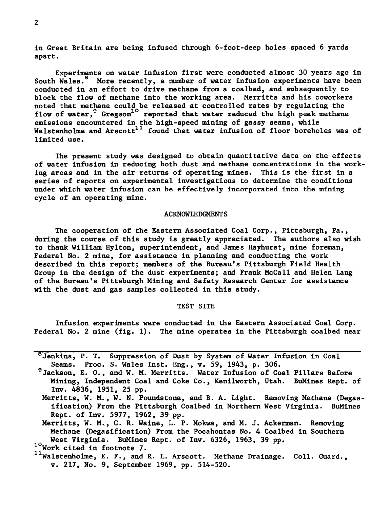in Great Britain are being infused through 6-foot-deep holes spaced 6 yards apart.

Experiments on water infusion first were conducted almost 30 years ago in South Wales.<sup>8</sup> More recently, a number of water infusion experiments have been More recently, a number of water infusion experiments have been conducted in an effort to drive methane from a coalbed, and subsequently to block the flow of methane into the working area. Merritts and his coworkers noted that methane could be released at controlled rates by regulating the flow of water, <sup>9</sup> Gregson<sup>10</sup> reported that water reduced the high peak methane emissions encountered in the high-speed mining of gassy seams, while Walstenholme and Arscott<sup>11</sup> found that water infusion of floor boreholes was of limited use.

The present study was designed to obtain quantitative data on the effects of water infusion in reducing both dust and methane concentrations in the working areas and in the air returns of operating mines. This is the first in a series of reports on experimental investigations to determine the conditions under which water infusion can be effectively incorporated into the mining cycle of an operating mine.

#### **ACKNOWLEDGMENTS**

The cooperation of the Eastern Associated Coal Corp., Pittsburgh, Pa., during the course of this study is greatly appreciated. The authors also wish to thank William Hylton, superintendent, and James Hayhurst, mine foreman, Federal No. 2 mine, for assistance in planning and conducting the work described in this report; members of the Bureau's Pittsburgh Field Health Group in the design of the dust experiments; and Frank McCall and Helen Lang of the Bureau's Pittsburgh Mining and Safety Research Center for assistance with the dust and gas samples collected in this study.

#### TEST SITE

Infusion experiments were conducted in the Eastern Associated Coal Corp. Federal No. 2 mine (fig. 1). The mine operates in the Pittsburgh coalbed near

'Jenkins, P. T. Suppression of Dust by System of Water Infusion in Coal Seams. Proc. S. Wales Inst. Eng., v. 59, 1943, p. 306.

'Jackson, E. **O.,** and W. M. Merritts. Water Infusion of Coal Pillars Before Mining, Independent Coal and Coke Co., Kenilworth, Utah. BuMines Rept. of Inv. 4836, 1951, 25 pp.

Merritts, W. M., W. N. Poundstone, and B. A. Light. Removing Methane (Degasification) From the Pittsburgh Coalbed in Northern West Virginia. BuMines Rept. of Inv. 5977, 1962, 39 pp.

Merritts, W. M., C. R. Waine, L. P. Mokwa, and M. J. Ackerman. Removing Methane (Degasification) From the Pocahontas No. 4 Coalbed in Southern West Virginia. BuMines Rept. of Inv. 6326, 1963, 39 pp. 1<sup>0</sup>Work cited in footnote 7.

<sup>11</sup>Walstenholme, E. F., and R. L. Arscott. Methane Drainage. Coll. Guard., v. 217, No. 9, September 1969, pp. 514-520.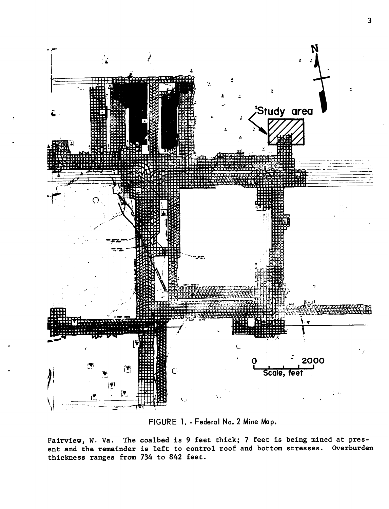

**FIGURE 1.** - **Federal No. 2 Mine Map.** 

**Fairview, W. Va. The coalbed is 9 feet thick; 7 feet is being mined at present and the remainder is left to control roof and bottom stresses. Overburden thickness ranges from 734 to 842 feet.**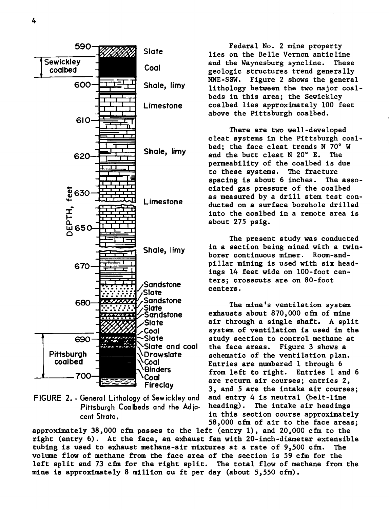

**FIGURE 2.** - **General Lithology** of **Sewickley and** and entry **4** is neutral (belt-line Pittsburgh Coalbeds and the Adia-

Federal No. 2 mine property lies on the Belle Vernon anticline<br>and the Waynesburg syncline. These and the Waynesburg syncline. geologic structures trend generally NNE-SSW. Figure 2 shows the general lithology between the two major coalbeds in this area; the Sewickley coalbed lies approximately 100 feet above the Pittsburgh coalbed.

There are two well-developed cleat systems in the Pittsburgh coalbed; the face cleat trends N 70°W<br>and the butt cleat N 20°E. The and the butt cleat  $N$  20 $^{\circ}$  E. permeability of the coalbed is due<br>to these systems. The fracture to these systems. The fracture<br>spacing is about 6 inches. The assospacing is about  $6$  inches. ciated gas pressure of the coalbed as measured by a drill stem test conducted on a surface borehole drilled into the coalbed in a remote area is about 275 psig.

The present study was conducted in a section being mined with a twinborer continuous miner. Room-andpillar mining is used with six headings 14 feet wide on 100-foot centers; crosscuts are on 80-foot centers.

The mine's ventilation system exhausts about 870,000 cfm of mine air through a single shaft. A split system of ventilation is used in the study section to control methane at<br>the face areas. Figure 3 shows a Figure 3 shows a schematic of the ventilation plan. Entries are numbered 1 through 6 from left to right. Entries 1 and 6 are return air courses; entries 2, 3, and 5 are the intake air courses; **cent Strata.** in this section course approximately 58,000 cfm of air to the face areas;

approximately 38,000 cfm passes to the left (entry 1), and 20,000 cfm to the right (entry 6). At the face, an exhaust fan with 20-inch-diameter extensible tubing is used to exhaust methane-air mixtures at a rate of 9,500 cfm. The volume flow of methane from the face area of the section is 59 cfm for the left split and 73 cfm for the right split. The total flow of methane from the mine is approximately 8 million cu ft per day (about 5,550 cfm).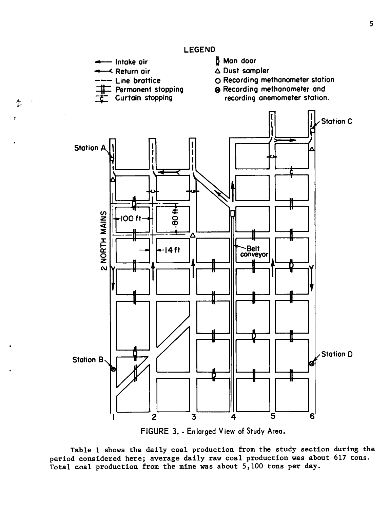← Intake air<br>← Return air<br>← Return air 1 **Man door**  <mark>K Return air</mark><br>- Line brattice **A Dust sampler 0 Recording methanometer stotion g Recording methanometer and Permanent stopping**  recording anemometer station. **Curtain stopping Station C Station A** 2 NORTH MAINS **IOO ft** ဝ္ထ Λ **Belt**  $14$ ft conveyor **Station D Station B** 5 3  $\mathbf{z}$ 4 6

**FIGURE 3.** - **Enlarged View of Study Area.** 

**Table 1 shows the daily coal production from the study section during the period considered here; average daily raw coal production was about 617 tons. Total coal production from the mine was about 5,100 tons per day.** 

میں<br>تین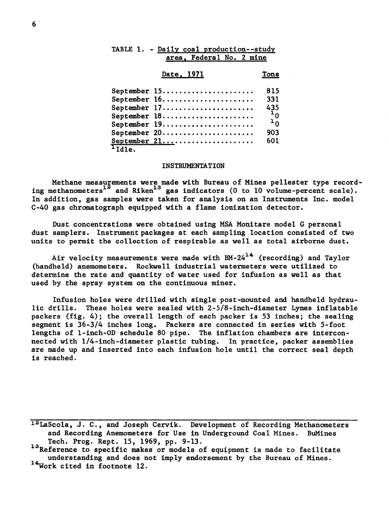| TABLE 1. - Daily coal production--study<br>area, Federal No. 2 mine         |                |
|-----------------------------------------------------------------------------|----------------|
| Date, 1971                                                                  | Tons           |
| September $15 \ldots \ldots \ldots \ldots \ldots \ldots$                    | 815            |
| September $16. \ldots \ldots \ldots \ldots \ldots \ldots$                   | 331            |
| September 17                                                                | 435            |
| September $18. \ldots \ldots \ldots \ldots \ldots \ldots \ldots$            | $\frac{1}{10}$ |
| September 19                                                                |                |
| September 20                                                                | 903            |
| September 21 $\dots\dots\dots\dots\dots\dots\dots$<br>$\overline{^1}$ Idle. | 601            |

#### INSTRUMENTATION

Methane measurements were made with Bureau of Mines pellester type recording methanometers<sup> $2^{\circ}$ </sup> and Riken<sup>13</sup> gas indicators (0 to 10 volume-percent scale). In addition, gas samples were taken for analysis on an Instruments Inc. model C-40 gas chromatograph equipped with a flame ionization detector.

Dust concentrations were obtained using MSA Monitare model G personal dust samplers. Instrument packages at each sampling location consisted of two units to permit the collection of respirable as well as total airborne dust.

Air velocity measurements were made with  $BM-24^{14}$  (recording) and Taylor (handheld) anemometers. Rockwell industrial watermeters were utilized to determine the rate and quantity of water used for infusion as well as that used by the spray system on the continuous miner.

Infusion holes were drilled with single post-mounted and handheld hydraulic drills. These holes were sealed with 2-518-inch-diameter Lynes inflatable packers (fig. 4); the overall length of each packer is 53 inches; the sealing segment is 36-3/4 inches long. Packers are connected in series with 5-foot lengths of 1-inch-OD schedule 80 pipe. The inflation chambers are interconnected with 114-inch-diameter plastic tubing. In practice, packer assemblies are made up and inserted into each infusion hole until the correct seal depth is reached.

1<sup>2</sup>LaScola, J. C., and Joseph Cervik. Development of Recording Methanometers and Recording Anemometers for Use in Underground Coal Mines. BuMines Tech. Prog. Rept. 15, 1969, pp. 9-13.

13Reference to specific makes or models of equipment is made to facilitate understanding and does not imply endorsement by the Bureau of Mines. <sup>14</sup>Work cited in footnote 12.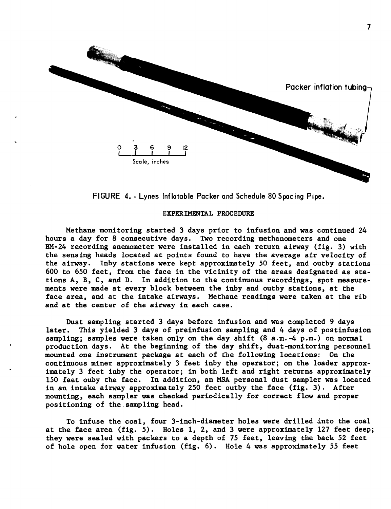

**FIGURE 4.** - **Lynes Inflatable Packer and Schedule 80 Spacing Pipe.** 

#### **EXPERIMENTAL PROCEDURE**

Methane monitoring started 3 days prior to infusion and was continued 24 hours a day for 8 consecutive days. Two recording methanometers and one BM-24 recording anemometer were installed in each return airway (fig. 3) with the sensing heads located at points found to have the average air velocity of the airway. Inby stations were kept approximately 50 feet, and outby stations 600 to 650 feet, from the face in the vicinity of the areas designated as stations A, **By** C, and D. In addition to the continuous recordings, spot measurements were made at every block between the inby and outby stations, at the face area, and at the intake airways. Methane readings were taken at the rib and at the center of the airway in each case.

Dust sampling started 3 days before infusion and was completed 9 days later. This yielded 3 days of preinfusion sampling and 4 days of postinfusion sampling; samples were taken only on the day shift (8 a.m.-4 p.m.) on normal production days. At the beginning of the day shift, dust-monitoring personnel mounted one instrument package at each of the following locations: On the continuous miner approximately 3 feet inby the operator; on the loader approximately 3 feet inby the operator; in both left and right returns approximately 150 feet ouby the face. In addition, an MSA personal dust sampler was located in an intake airway approximately 250 feet outby the face (fig. 3). After mounting, each sampler was checked periodically for correct flow and proper positioning of the sampling head.

To infuse the coal, four 3-inch-diameter holes were drilled into the coal at the face area (fig. 5). Holes 1, 2, and 3 were approximately 127 feet deep; they were sealed with packers to a depth of 75 feet, leaving the back 52 feet of hole open for water infusion (fig. 6). Hole 4 was approximately **55** feet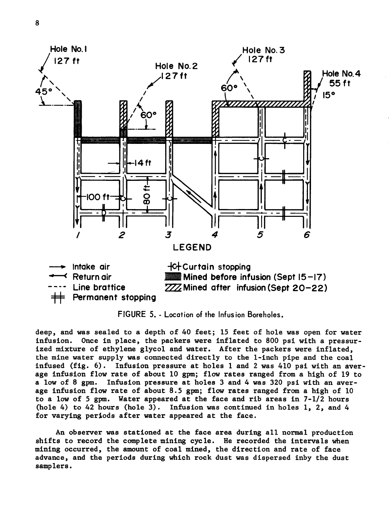

FIGURE 5. - Location of **the** Infusion Boreholes.

deep, and was sealed to a depth of 40 feet; 15 feet of hole was open for water infusion. Once in place, the packers were inflated to 800 psi with a pressurized mixture of ethylene glycol and water. After the packers were inflated, the mine water supply was connected directly to the 1-inch pipe and the coal infused (fig. 6). Infusion pressure at holes 1 and 2 was 410 psi with an average infusion flow rate of about 10 gpm; flow rates ranged from a high of 19 to a low of 8 gpm. Infusion pressure at holes 3 and 4 was 320 psi with an average infusion flow rate of about 8.5 gpm; flow rates ranged from a high of 10 to a low of 5 gpm. Water appeared at the face and rib areas in  $7-1/2$  hours (hole 4) to 42 hours (hole 3). Infusion was continued in holes 1, 2, and 4 for varying periods after water appeared at the face.

An observer was stationed at the face area during all normal production shifts to record the complete mining cycle. He recorded the intervals when mining occurred, the amount of coal mined, the direction and rate of face advance, and the periods during which rock dust was dispersed inby the dust samplers.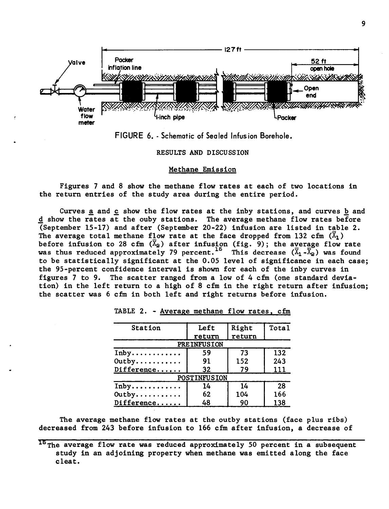



RESULTS AND DISCUSSION

#### Methane Emission

Figures 7 and 8 show the methane flow rates at each of two locations in the return entries of the study area during the entire period.

Curves and **c** show the flow rates at the inby stations, and curves **b** and d show the rates at the ouby stations. The average methane flow rates before (September 15-17) and after (September 20-22) infusion are listed in table 2. The average total methane flow rate at the face dropped from 132 cfm  $(\overline{X}_1)$ before infusion to 28 cfm  $(\overline{X}_2)$  after infusion (fig. 9); the average flow rate was thus reduced approximately 79 percent.<sup>15</sup> This decrease  $(\overline{X}_1 - \overline{X}_2)$  was found to be statistically significant at the 0.05 level of significance in each case; the 95-percent confidence interval is shown for each of the inby curves in figures 7 to 9. The scatter ranged from a low of 4 cfm (one standard deviation) in the left return to a high of 8 cfm in the right return after infusion; the scatter was 6 cfm in both left and right returns before infusion.

| Station    | Left                | Right  | Tota1 |  |
|------------|---------------------|--------|-------|--|
|            | return              | return |       |  |
|            | <b>PREINFUSION</b>  |        |       |  |
| Inby       | 59                  | 73     | 132   |  |
| Outby      | 91                  | 152    | 243   |  |
| Difference | 32                  | 79     | 111   |  |
|            | <b>POSTINFUSION</b> |        |       |  |
| Inby       | 14                  | 14     | 28    |  |
| Outby      | 62                  | 104    | 166   |  |
| Difference | 48                  | 90     | 138   |  |

TABLE 2. - Average methane flow rates, cfm

The average methane flow rates at the outby stations (face plus ribs) decreased from 243 before infusion to 166 cfm after infusion, a decrease of

 $15$  The average flow rate was reduced approximately 50 percent in a subsequent study in an adjoining property when methane was emitted along the face cleat.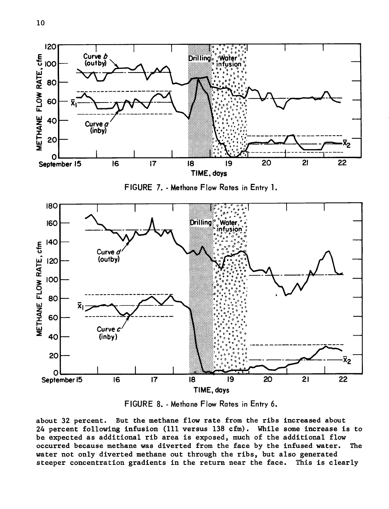

FIGURE 8. - Methane Flow Rates in Entry 6.

about 32 percent. But the methane flow rate from the ribs increased about 24 percent following infusion (111 versus 138 cfm). While some increase is to be expected as additional rib area is exposed, much of the additional flow occurred because methane was diverted from the face by the infused water. The water not only diverted methane out through the ribs, but also generated steeper concentration gradients in the return near the face. This is clearly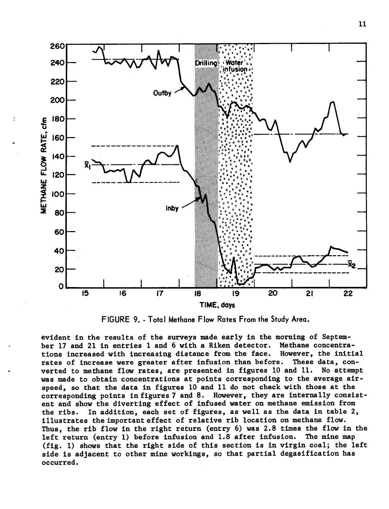

FIGURE 9. - Total Methane Flow Rates From the Study Area.

evident in the results of the surveys made early in the morning of Septem-<br>ber 17 and 21 in entries 1 and 6 with a Riken detector. Methane concentraber 17 and 21 in entries 1 and 6 with a Riken detector. Methane concentra-<br>tions increased with increasing distance from the face. However, the initial tions increased with increasing distance from the face. However, the initial<br>rates of increase were greater after infusion than before. These data, conrates of increase were greater after infusion than before. These data, con-<br>verted to methane flow rates, are presented in figures 10 and 11. No attempt verted to methane flow rates, are presented in figures 10 and  $11$ . was made to obtain concentrations at points corresponding to the average airspeed, so that the data in figures 10 and 11 do not check with those at the corresponding points in figures 7 and 8. However, they are internally consistent and show the diverting effect of infused water on methane emission from the ribs. In addition, each set of figures, as well as the data in table 2, illustrates the important effect of relative rib location on methane flow. Thus, the rib flow in the right return (entry 6) was 2.8 times the flow in the left return (entry 1) before infusion and 1.8 after infusion. The mine map (fig. 1) shows that the right side of this section is in virgin coal; the left side is adjacent to other mine workings, so that partial degasification has occurred.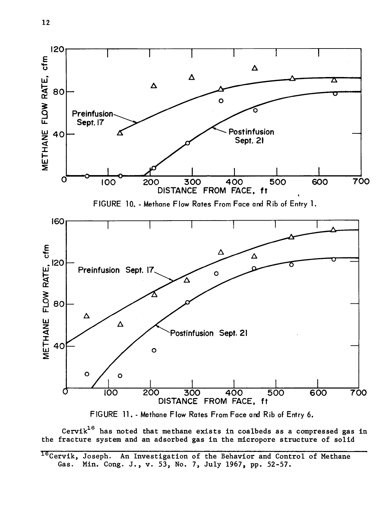



Cervik<sup>16</sup> has noted that methane exists in coalbeds as a compressed gas in the fracture system and an adsorbed gas in the micropore structure of solid

<sup>16</sup>Cervik, Joseph. An Investigation of the Behavior and Control of Methane Gas. Min. Cong. J., v. 53, No. 7, July 1967, pp. 52-57.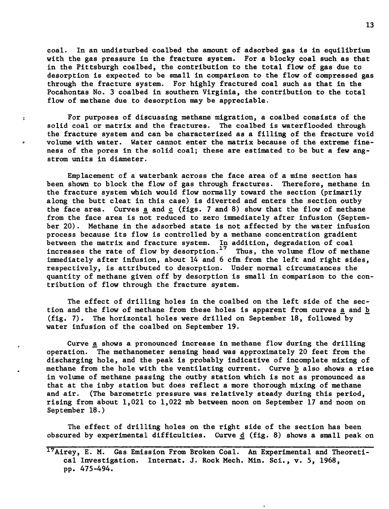coal. In an undisturbed coalbed the amount of adsorbed gas is in equilibrium with the gas pressure in the fracture system. For a blocky coal such as that in the Pittsburgh coalbed, the contribution to the total flow of gas due to desorption is expected to be small in comparison to the flow of compressed gas through the fracture system. For highly fractured coal such as that in the Pocahontas No. 3 coalbed in southern Virginia, the contribution to the total flow of methane due to desorption may be appreciable.

For purposes of discussing methane migration, a coalbed consists of the solid coal or matrix and the fractures. The coalbed is waterflooded through the fracture system and can be characterized as a filling of the fracture void **.,** volume with water. Water cannot enter the matrix because of the extreme fineness of the pores in the solid coal; these are estimated to be but a few angstrom units in diameter.

 $\mathbf{r}$ 

Emplacement of a waterbank across the face area of a mine section has been shown to block the flow of gas through fractures. Therefore, methane in the fracture system which would flow normally toward the section (primarily along the butt cleat in this case) is diverted and enters the section outby the face area. Curves a and *c* (figs. 7 and 8) show that the flow of methane from the face area is not reduced to zero immediately after infusion (September 20). Methane in the adsorbed state is not affected by the water infusion process because its flow is controlled by a methane concentration gradient between the matrix and fracture system. In addition, degradation of coal<br>increases the rate of flow by desorption.<sup>17</sup> Thus, the volume flow of methane increases the rate of flow by desorption.<sup>17</sup> immediately after infusion, about 14 and 6 cfm from the left and right sides, respectively, is attributed to desorption. Under normal circumstances the quantity of methane given off by desorption is small in comparison to the contribution of flow through the fracture system.

The effect of drilling holes in the coalbed on the left side of the section and the flow of methane from these holes is apparent from curves a and **b**  (fig. 7). The horizontal holes were drilled on September 18, followed by water infusion of the coalbed on September 19.

Curve a shows a pronounced increase in methane flow during the drilling operation. The methanometer sensing head was approximately 20 feet from the discharging hole, and the peak is probably indicative of incomplete mixing of methane from the hole with the ventilating current. Curve **b** also shows a rise in volume of methane passing the outby station which is not as pronounced as that at the inby station but does reflect a more thorough mixing of methane and air. (The barometric pressure was relatively steady during this period, rising from about 1,021 to 1,022 mb between noon on September 17 and noon on September 18.)

The effect of drilling holes on the right side of the section has been obscured by experimental difficulties. Curve  $d$  (fig. 8) shows a small peak on

<sup>&</sup>lt;sup>17</sup>Airey, E. M. Gas Emission From Broken Coal. An Experimental and Theoretical Investigation. Internat. J. Rock Mech. Min. Sci., v. 5, 1968, pp. 475-494.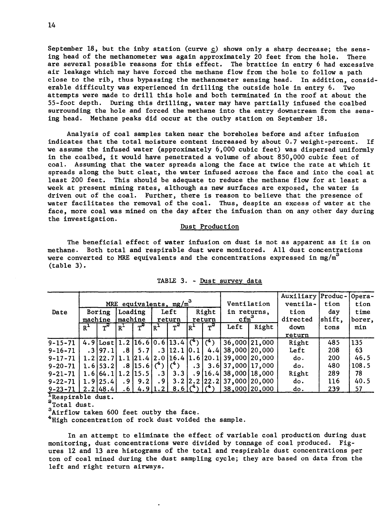September 18, but the inby station (curve c) shows only a sharp decrease; the sensing head of the methanometer was again approximately 20 feet from the hole. There are several possible reasons for this effect. The brattice in entry 6 had excessive air leakage which may have forced the methane flow from the hole to follow a path close to the rib, thus bypassing the methanometer sensing head. In addition, considerable difficulty was experienced in drilling the outside hole in entry 6. Two attempts were made to drill this hole and both terminated in the roof at about the 55-foot depth. During this drilling, water may have partially infused the coalbed surrounding the hole and forced the methane into the entry downstream from the sensing head. Methane peaks did occur at the outby station on September 18.

Analysis of coal samples taken near the boreholes before and after infusion indicates that the total moisture content increased by about 0.7 weight-percent. If we assume the infused water (approximately 6,000 cubic feet) was dispersed uniformly in the coalbed, it would have penetrated a volume of about 850,000 cubic feet of coal. Assuming that the water spreads along the face at twice the rate at which it spreads along the butt cleat, the water infused across the face and into the coal at least 200 feet. This should be adequate to reduce the methane flow for at least a week at present mining rates, although as new surfaces are exposed, the water is driven out of the coal. Further, there is reason to believe that the presence of water facilitates the removal of the coal. Thus, despite an excess of water at the face, more coal was mined on the day after the infusion than on any other day during the investigation.

#### Dust Production

The beneficial effect of water infusion on dust is not as apparent as it is on methane. Both total and respirable dust were monitored. All dust concentrations were converted to MRE equivalents and the concentrations expressed in  $mg/m<sup>3</sup>$ (table 3). is on<br>
ions<br>
Opera-<br>
tion

|               | MRE equivalents, $mg/m^3$ |                   |                 |                               |                 |                                                   |        |          |                                                                                                  | Auxiliary Produc- Opera-<br>Ventilation<br>ventila- |          | tion          | tion   |
|---------------|---------------------------|-------------------|-----------------|-------------------------------|-----------------|---------------------------------------------------|--------|----------|--------------------------------------------------------------------------------------------------|-----------------------------------------------------|----------|---------------|--------|
| Date          | Boring                    |                   | Loading         |                               | Left            |                                                   | Right  |          | in returns,                                                                                      |                                                     | tion     | day           | time   |
|               | machine                   |                   | machine         |                               | return          |                                                   | return |          | $cfm^3$                                                                                          |                                                     | directed | $\sf{shift},$ | borer, |
|               | $R^{\perp}$               |                   | $R^{-}$         |                               | $R^-$           |                                                   | Ir+    | $\tau^3$ | Left                                                                                             | Right                                               | down     | tons          | min    |
|               |                           |                   |                 |                               |                 |                                                   |        |          |                                                                                                  |                                                     | return   |               |        |
| $9 - 15 - 71$ |                           |                   |                 |                               |                 | $4.9$ [Lost] 1.2] 16.6] 0.6] 13.4] $\binom{4}{1}$ |        | (4)      |                                                                                                  | 36,000 21,000                                       | Right    | 485           | 135    |
| $9 - 16 - 71$ |                           | .3197.1           | $.8+$           | 5.71                          |                 | $.3$   12.1   0.1                                 |        |          | 4.4 38,000 20,000                                                                                |                                                     | Left     | 208           | 63     |
| $9 - 17 - 71$ |                           | 1.2122.7          |                 |                               |                 |                                                   |        |          | $\vert 1.1 \vert 21.4 \vert 2.0 \vert 16.4 \vert 1.6 \vert 20.1 \vert 39,000 \vert 20,000 \vert$ |                                                     | do.      | 200           | 46.5   |
| $9 - 20 - 71$ |                           | 1.6153.21         |                 | $.8$  15.6 $($ <sup>4</sup> ) |                 | $({}^{4})$                                        | .31    |          | 3.6 37.000 17.000                                                                                |                                                     | do.      | 480           | 108.5  |
| $9 - 21 - 71$ |                           | 1.6164.111.2115.5 |                 |                               | .3 <sub>1</sub> | 3.31                                              |        |          | $.9$  16.4  38,000   18,000                                                                      |                                                     | Right    | 289           | 78     |
| $9 - 22 - 71$ |                           | 1.9125.4          | .9 <sub>1</sub> | 9.21                          | . 9             |                                                   |        |          | $3.2$  2, 2   22. 2   37,000   20,000                                                            |                                                     | do.      | 116           | 40.5   |
| $9 - 23 - 71$ |                           | $2.2$  48.4       | . 6             |                               | $4.9$   1.2     | 8.61                                              |        |          | 38,000 20,000                                                                                    |                                                     | do.      | 239           | 57     |

|  |  | TABLE 3. - Dust survey data |  |
|--|--|-----------------------------|--|
|  |  |                             |  |

 $\frac{1}{a}$ Respirable dust.<br> $\frac{1}{a}$ Total dust.

**<sup>3</sup>**Airflow taken 600 feet outby the face.

<sup>4</sup> High concentration of rock dust voided the sample.

In an attempt to eliminate the effect of variable coal production during dust monitoring, dust concentrations were divided by tonnage of coal produced. Figures 12 and 13 are histograms of the total and respirable dust concentrations per ton of coal mined during the dust sampling cycle; they are based on data from the left and right return airways.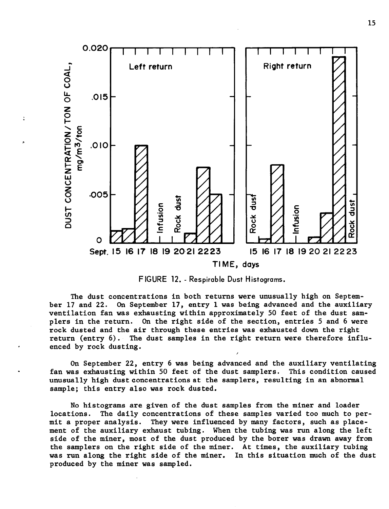

 $\overline{z}$ 

**FIGURE 12.** - **Respirable Dust Histograms.** 

The dust concentrations in both returns were unusually high on September 17 and 22. **On** September 17, entry 1 was being advanced and the auxiliary ventilation fan was exhausting within approximately 50 feet of the dust samplers in the return. **On** the right side of the section, entries 5 and 6 were rock dusted and the air through these entries was exhausted down the right return (entry 6). The dust samples in the right return were therefore influenced by rock dusting.

**On** September 22, entry 6 was being advanced and the auxiliary ventilating fan was exhausting within 50 feet of the dust samplers. This condition caused unusually high dust concentrations at the samplers, resulting in an abnormal sample; this entry also was rock dusted.

No histograms are given of the dust samples from the miner and loader locations. The daily concentrations of these samples varied too much to permit a proper analysis. They were influenced by many factors, such as placement of the auxiliary exhaust tubing. When the tubing was run along the left side of the miner, most of the dust produced by the borer was drawn away from the samplers on the right side of the miner. At times, the auxiliary tubing was run along the right side of the miner. In this situation much of the dust produced by the miner was sampled.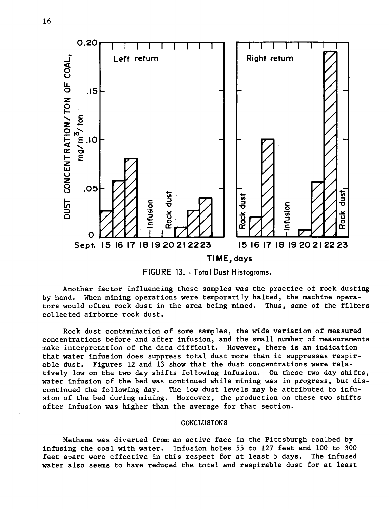

FIGURE 13. - Total Dust Histograms.

Another factor influencing these samples was the practice of rock dusting by hand. When mining operations were temporarily halted, the machine operators would often rock dust in the area being mined. Thus, some of the filters collected airborne rock dust.

Rock dust contamination of some samples, the wide variation of measured concentrations before and after infusion, and the small number of measurements make interpretation of the data difficult. However, there is an indication that water infusion does suppress total dust more than it suppresses respirable dust. Figures 12 and 13 show that the dust concentrations were relatively low on the two day shifts following infusion. On these two day shifts, water infusion of the bed was continued while mining was in progress, but discontinued the following day. The low dust levels may be attributed to infusion of the bed during mining. Moreover, the production on these two shifts after infusion was higher than the average for that section.

#### CONCLUSIONS

Methane was diverted from an active face in the Pittsburgh coalbed by infusing the coal with water. Infusion holes 55 to 127 feet and 100 to 300 feet apart were effective in this respect for at least 5 days. The infused feet apart were effective in this respect for at least 5 days. water also seems to have reduced the total and respirable dust for at least